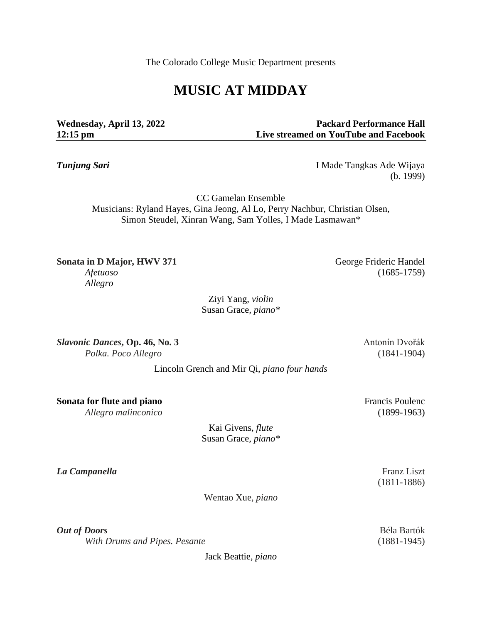The Colorado College Music Department presents

# **MUSIC AT MIDDAY**

**Wednesday, April 13, 2022 Packard Performance Hall 12:15 pm Live streamed on YouTube and Facebook**

*Tunjung Sari* I Made Tangkas Ade Wijaya (b. 1999)

CC Gamelan Ensemble Musicians: Ryland Hayes, Gina Jeong, Al Lo, Perry Nachbur, Christian Olsen, Simon Steudel, Xinran Wang, Sam Yolles, I Made Lasmawan\*

**Sonata in D Major, HWV 371** George Frideric Handel *Afetuoso* (1685-1759) *Allegro*

Susan Grace*, piano\**

**Slavonic Dances, Op. 46, No. 3** Antonín Dvořák *Polka. Poco Allegro* (1841-1904)

Lincoln Grench and Mir Qi, *piano four hands*

**Sonata for flute and piano** Francis Poulence *Allegro malinconico* (1899-1963)

> Kai Givens, *flute* Susan Grace, *piano\**

*La Campanella* Franz Liszt

(1811-1886)

Wentao Xue, *piano*

Jack Beattie*, piano*

*Out of Doors* Béla Bartók *With Drums and Pipes. Pesante* (1881-1945)

Ziyi Yang, *violin*